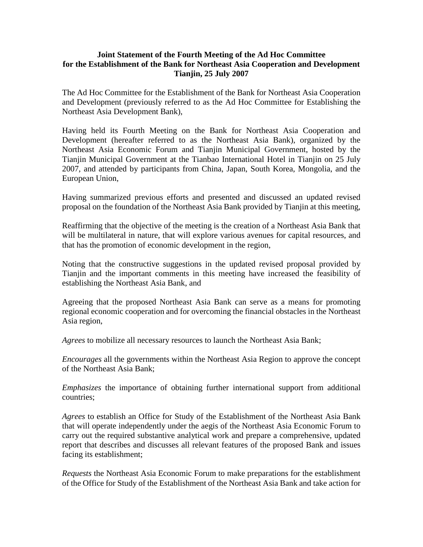## **Joint Statement of the Fourth Meeting of the Ad Hoc Committee for the Establishment of the Bank for Northeast Asia Cooperation and Development Tianjin, 25 July 2007**

The Ad Hoc Committee for the Establishment of the Bank for Northeast Asia Cooperation and Development (previously referred to as the Ad Hoc Committee for Establishing the Northeast Asia Development Bank),

Having held its Fourth Meeting on the Bank for Northeast Asia Cooperation and Development (hereafter referred to as the Northeast Asia Bank), organized by the Northeast Asia Economic Forum and Tianjin Municipal Government, hosted by the Tianjin Municipal Government at the Tianbao International Hotel in Tianjin on 25 July 2007, and attended by participants from China, Japan, South Korea, Mongolia, and the European Union,

Having summarized previous efforts and presented and discussed an updated revised proposal on the foundation of the Northeast Asia Bank provided by Tianjin at this meeting,

Reaffirming that the objective of the meeting is the creation of a Northeast Asia Bank that will be multilateral in nature, that will explore various avenues for capital resources, and that has the promotion of economic development in the region,

Noting that the constructive suggestions in the updated revised proposal provided by Tianjin and the important comments in this meeting have increased the feasibility of establishing the Northeast Asia Bank, and

Agreeing that the proposed Northeast Asia Bank can serve as a means for promoting regional economic cooperation and for overcoming the financial obstacles in the Northeast Asia region,

*Agrees* to mobilize all necessary resources to launch the Northeast Asia Bank;

*Encourages* all the governments within the Northeast Asia Region to approve the concept of the Northeast Asia Bank;

*Emphasizes* the importance of obtaining further international support from additional countries;

*Agrees* to establish an Office for Study of the Establishment of the Northeast Asia Bank that will operate independently under the aegis of the Northeast Asia Economic Forum to carry out the required substantive analytical work and prepare a comprehensive, updated report that describes and discusses all relevant features of the proposed Bank and issues facing its establishment;

*Requests* the Northeast Asia Economic Forum to make preparations for the establishment of the Office for Study of the Establishment of the Northeast Asia Bank and take action for